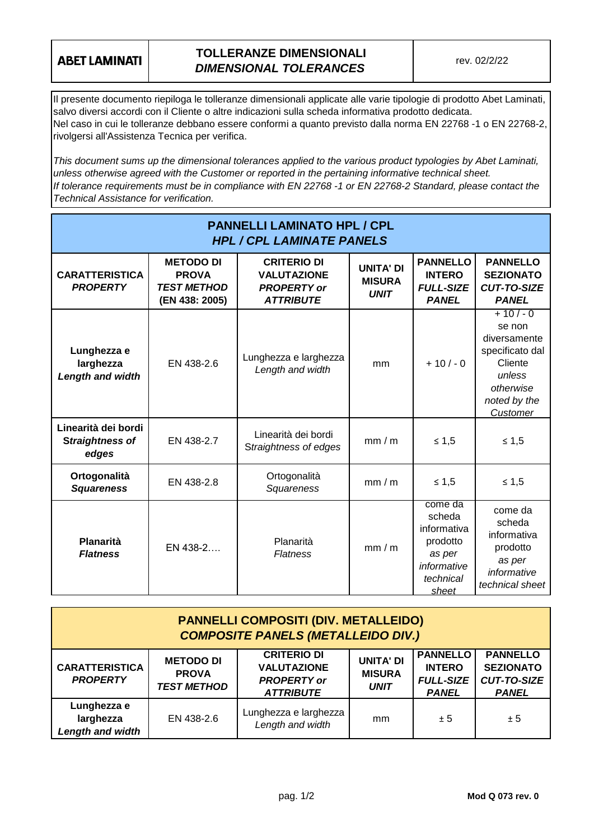## **ABET LAMINATI**

## **TOLLERANZE DIMENSIONALI** *DIMENSIONAL TOLERANCES*

Il presente documento riepiloga le tolleranze dimensionali applicate alle varie tipologie di prodotto Abet Laminati, salvo diversi accordi con il Cliente o altre indicazioni sulla scheda informativa prodotto dedicata. Nel caso in cui le tolleranze debbano essere conformi a quanto previsto dalla norma EN 22768 -1 o EN 22768-2, rivolgersi all'Assistenza Tecnica per verifica.

*This document sums up the dimensional tolerances applied to the various product typologies by Abet Laminati, unless otherwise agreed with the Customer or reported in the pertaining informative technical sheet. If tolerance requirements must be in compliance with EN 22768 -1 or EN 22768-2 Standard, please contact the Technical Assistance for verification.*

| <b>PANNELLI LAMINATO HPL / CPL</b><br><b>HPL / CPL LAMINATE PANELS</b> |                                                                          |                                                                                    |                                                  |                                                                                             |                                                                                                                     |  |
|------------------------------------------------------------------------|--------------------------------------------------------------------------|------------------------------------------------------------------------------------|--------------------------------------------------|---------------------------------------------------------------------------------------------|---------------------------------------------------------------------------------------------------------------------|--|
| <b>CARATTERISTICA</b><br><b>PROPERTY</b>                               | <b>METODO DI</b><br><b>PROVA</b><br><b>TEST METHOD</b><br>(EN 438: 2005) | <b>CRITERIO DI</b><br><b>VALUTAZIONE</b><br><b>PROPERTY</b> or<br><b>ATTRIBUTE</b> | <b>UNITA' DI</b><br><b>MISURA</b><br><b>UNIT</b> | <b>PANNELLO</b><br><b>INTERO</b><br><b>FULL-SIZE</b><br><b>PANEL</b>                        | <b>PANNELLO</b><br><b>SEZIONATO</b><br><b>CUT-TO-SIZE</b><br><b>PANEL</b>                                           |  |
| Lunghezza e<br>larghezza<br><b>Length and width</b>                    | EN 438-2.6                                                               | Lunghezza e larghezza<br>Length and width                                          | mm                                               | $+10/-0$                                                                                    | $+10/-0$<br>se non<br>diversamente<br>specificato dal<br>Cliente<br>unless<br>otherwise<br>noted by the<br>Customer |  |
| Linearità dei bordi<br><b>Straightness of</b><br>edges                 | EN 438-2.7                                                               | Linearità dei bordi<br>Straightness of edges                                       | mm/m                                             | $≤ 1,5$                                                                                     | $≤ 1,5$                                                                                                             |  |
| Ortogonalità<br><b>Squareness</b>                                      | EN 438-2.8                                                               | Ortogonalità<br>Squareness                                                         | mm/m                                             | $≤ 1,5$                                                                                     | $≤ 1,5$                                                                                                             |  |
| Planarità<br><b>Flatness</b>                                           | EN 438-2                                                                 | Planarità<br><b>Flatness</b>                                                       | mm/m                                             | come da<br>scheda<br>informativa<br>prodotto<br>as per<br>informative<br>technical<br>sheet | come da<br>scheda<br>informativa<br>prodotto<br>as per<br>informative<br>technical sheet                            |  |

| <b>PANNELLI COMPOSITI (DIV. METALLEIDO)</b><br><b>COMPOSITE PANELS (METALLEIDO DIV.)</b> |                                                        |                                                                                    |                                                  |                                                                      |                                                                           |  |
|------------------------------------------------------------------------------------------|--------------------------------------------------------|------------------------------------------------------------------------------------|--------------------------------------------------|----------------------------------------------------------------------|---------------------------------------------------------------------------|--|
| <b>CARATTERISTICA</b><br><b>PROPERTY</b>                                                 | <b>METODO DI</b><br><b>PROVA</b><br><b>TEST METHOD</b> | <b>CRITERIO DI</b><br><b>VALUTAZIONE</b><br><b>PROPERTY</b> or<br><b>ATTRIBUTE</b> | <b>UNITA' DI</b><br><b>MISURA</b><br><b>UNIT</b> | <b>PANNELLO</b><br><b>INTERO</b><br><b>FULL-SIZE</b><br><b>PANEL</b> | <b>PANNELLO</b><br><b>SEZIONATO</b><br><b>CUT-TO-SIZE</b><br><b>PANEL</b> |  |
| Lunghezza e<br>larghezza<br>Length and width                                             | EN 438-2.6                                             | Lunghezza e larghezza<br>Length and width                                          | mm                                               | ± 5                                                                  | ± 5                                                                       |  |